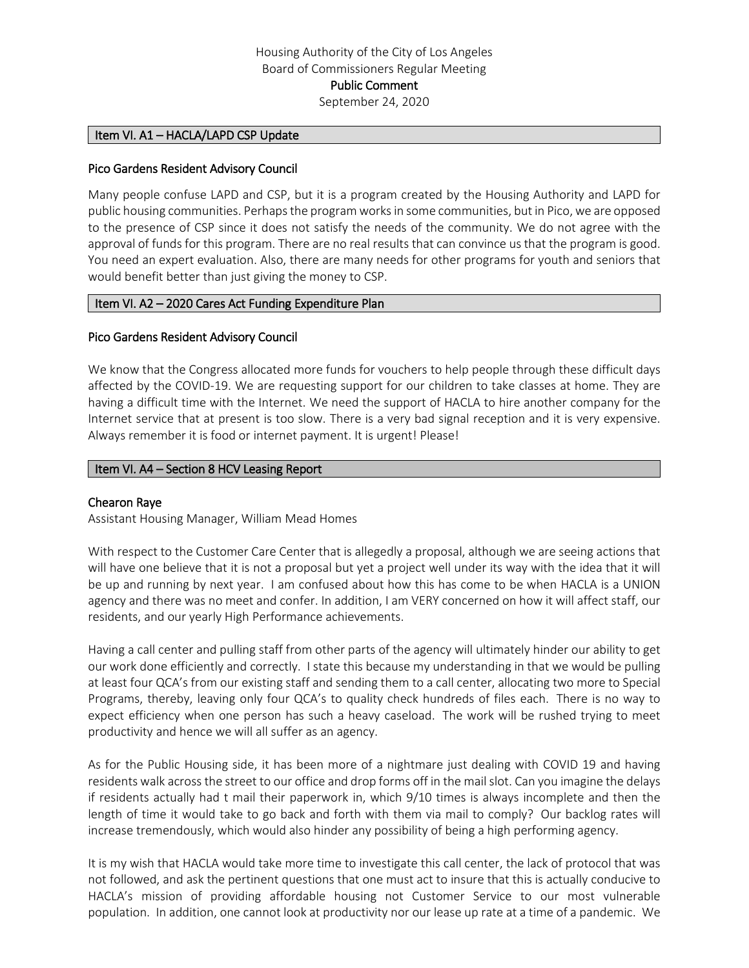#### Item VI. A1 – HACLA/LAPD CSP Update

#### Pico Gardens Resident Advisory Council

Many people confuse LAPD and CSP, but it is a program created by the Housing Authority and LAPD for public housing communities. Perhaps the program works in some communities, but in Pico, we are opposed to the presence of CSP since it does not satisfy the needs of the community. We do not agree with the approval of funds for this program. There are no real results that can convince us that the program is good. You need an expert evaluation. Also, there are many needs for other programs for youth and seniors that would benefit better than just giving the money to CSP.

#### Item VI. A2 - 2020 Cares Act Funding Expenditure Plan

#### Pico Gardens Resident Advisory Council

We know that the Congress allocated more funds for vouchers to help people through these difficult days affected by the COVID-19. We are requesting support for our children to take classes at home. They are having a difficult time with the Internet. We need the support of HACLA to hire another company for the Internet service that at present is too slow. There is a very bad signal reception and it is very expensive. Always remember it is food or internet payment. It is urgent! Please!

#### Item VI. A4 - Section 8 HCV Leasing Report

#### Chearon Raye

Assistant Housing Manager, William Mead Homes

With respect to the Customer Care Center that is allegedly a proposal, although we are seeing actions that will have one believe that it is not a proposal but yet a project well under its way with the idea that it will be up and running by next year. I am confused about how this has come to be when HACLA is a UNION agency and there was no meet and confer. In addition, I am VERY concerned on how it will affect staff, our residents, and our yearly High Performance achievements.

Having a call center and pulling staff from other parts of the agency will ultimately hinder our ability to get our work done efficiently and correctly. I state this because my understanding in that we would be pulling at least four QCA's from our existing staff and sending them to a call center, allocating two more to Special Programs, thereby, leaving only four QCA's to quality check hundreds of files each. There is no way to expect efficiency when one person has such a heavy caseload. The work will be rushed trying to meet productivity and hence we will all suffer as an agency.

As for the Public Housing side, it has been more of a nightmare just dealing with COVID 19 and having residents walk across the street to our office and drop forms off in the mail slot. Can you imagine the delays if residents actually had t mail their paperwork in, which 9/10 times is always incomplete and then the length of time it would take to go back and forth with them via mail to comply? Our backlog rates will increase tremendously, which would also hinder any possibility of being a high performing agency.

It is my wish that HACLA would take more time to investigate this call center, the lack of protocol that was not followed, and ask the pertinent questions that one must act to insure that this is actually conducive to HACLA's mission of providing affordable housing not Customer Service to our most vulnerable population. In addition, one cannot look at productivity nor our lease up rate at a time of a pandemic. We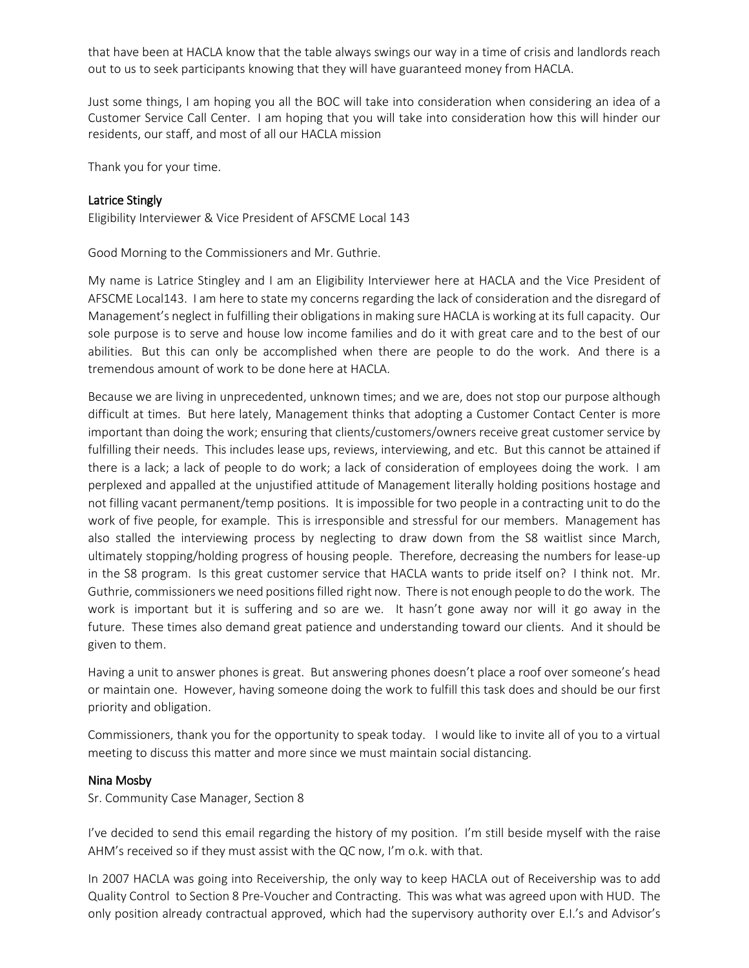that have been at HACLA know that the table always swings our way in a time of crisis and landlords reach out to us to seek participants knowing that they will have guaranteed money from HACLA.

Just some things, I am hoping you all the BOC will take into consideration when considering an idea of a Customer Service Call Center. I am hoping that you will take into consideration how this will hinder our residents, our staff, and most of all our HACLA mission

Thank you for your time.

## Latrice Stingly

Eligibility Interviewer & Vice President of AFSCME Local 143

Good Morning to the Commissioners and Mr. Guthrie.

My name is Latrice Stingley and I am an Eligibility Interviewer here at HACLA and the Vice President of AFSCME Local143. I am here to state my concerns regarding the lack of consideration and the disregard of Management's neglect in fulfilling their obligations in making sure HACLA is working at its full capacity. Our sole purpose is to serve and house low income families and do it with great care and to the best of our abilities. But this can only be accomplished when there are people to do the work. And there is a tremendous amount of work to be done here at HACLA.

Because we are living in unprecedented, unknown times; and we are, does not stop our purpose although difficult at times. But here lately, Management thinks that adopting a Customer Contact Center is more important than doing the work; ensuring that clients/customers/owners receive great customer service by fulfilling their needs. This includes lease ups, reviews, interviewing, and etc. But this cannot be attained if there is a lack; a lack of people to do work; a lack of consideration of employees doing the work. I am perplexed and appalled at the unjustified attitude of Management literally holding positions hostage and not filling vacant permanent/temp positions. It is impossible for two people in a contracting unit to do the work of five people, for example. This is irresponsible and stressful for our members. Management has also stalled the interviewing process by neglecting to draw down from the S8 waitlist since March, ultimately stopping/holding progress of housing people. Therefore, decreasing the numbers for lease-up in the S8 program. Is this great customer service that HACLA wants to pride itself on? I think not. Mr. Guthrie, commissioners we need positions filled right now. There is not enough people to do the work. The work is important but it is suffering and so are we. It hasn't gone away nor will it go away in the future. These times also demand great patience and understanding toward our clients. And it should be given to them.

Having a unit to answer phones is great. But answering phones doesn't place a roof over someone's head or maintain one. However, having someone doing the work to fulfill this task does and should be our first priority and obligation.

Commissioners, thank you for the opportunity to speak today. I would like to invite all of you to a virtual meeting to discuss this matter and more since we must maintain social distancing.

## Nina Mosby

Sr. Community Case Manager, Section 8

I've decided to send this email regarding the history of my position. I'm still beside myself with the raise AHM's received so if they must assist with the QC now, I'm o.k. with that.

In 2007 HACLA was going into Receivership, the only way to keep HACLA out of Receivership was to add Quality Control to Section 8 Pre-Voucher and Contracting. This was what was agreed upon with HUD. The only position already contractual approved, which had the supervisory authority over E.I.'s and Advisor's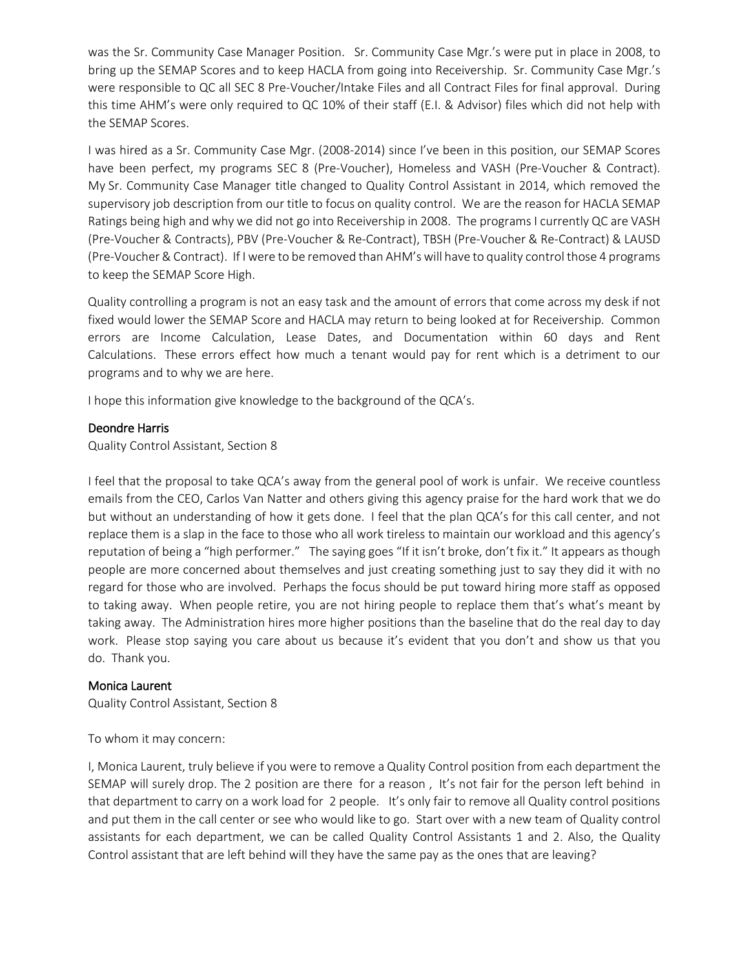was the Sr. Community Case Manager Position. Sr. Community Case Mgr.'s were put in place in 2008, to bring up the SEMAP Scores and to keep HACLA from going into Receivership. Sr. Community Case Mgr.'s were responsible to QC all SEC 8 Pre-Voucher/Intake Files and all Contract Files for final approval. During this time AHM's were only required to QC 10% of their staff (E.I. & Advisor) files which did not help with the SEMAP Scores.

I was hired as a Sr. Community Case Mgr. (2008-2014) since I've been in this position, our SEMAP Scores have been perfect, my programs SEC 8 (Pre-Voucher), Homeless and VASH (Pre-Voucher & Contract). My Sr. Community Case Manager title changed to Quality Control Assistant in 2014, which removed the supervisory job description from our title to focus on quality control. We are the reason for HACLA SEMAP Ratings being high and why we did not go into Receivership in 2008. The programs I currently QC are VASH (Pre-Voucher & Contracts), PBV (Pre-Voucher & Re-Contract), TBSH (Pre-Voucher & Re-Contract) & LAUSD (Pre-Voucher & Contract). If I were to be removed than AHM's will have to quality control those 4 programs to keep the SEMAP Score High.

Quality controlling a program is not an easy task and the amount of errors that come across my desk if not fixed would lower the SEMAP Score and HACLA may return to being looked at for Receivership. Common errors are Income Calculation, Lease Dates, and Documentation within 60 days and Rent Calculations. These errors effect how much a tenant would pay for rent which is a detriment to our programs and to why we are here.

I hope this information give knowledge to the background of the QCA's.

# Deondre Harris

Quality Control Assistant, Section 8

I feel that the proposal to take QCA's away from the general pool of work is unfair. We receive countless emails from the CEO, Carlos Van Natter and others giving this agency praise for the hard work that we do but without an understanding of how it gets done. I feel that the plan QCA's for this call center, and not replace them is a slap in the face to those who all work tireless to maintain our workload and this agency's reputation of being a "high performer." The saying goes "If it isn't broke, don't fix it." It appears as though people are more concerned about themselves and just creating something just to say they did it with no regard for those who are involved. Perhaps the focus should be put toward hiring more staff as opposed to taking away. When people retire, you are not hiring people to replace them that's what's meant by taking away. The Administration hires more higher positions than the baseline that do the real day to day work. Please stop saying you care about us because it's evident that you don't and show us that you do. Thank you.

# Monica Laurent

Quality Control Assistant, Section 8

To whom it may concern:

I, Monica Laurent, truly believe if you were to remove a Quality Control position from each department the SEMAP will surely drop. The 2 position are there for a reason , It's not fair for the person left behind in that department to carry on a work load for 2 people. It's only fair to remove all Quality control positions and put them in the call center or see who would like to go. Start over with a new team of Quality control assistants for each department, we can be called Quality Control Assistants 1 and 2. Also, the Quality Control assistant that are left behind will they have the same pay as the ones that are leaving?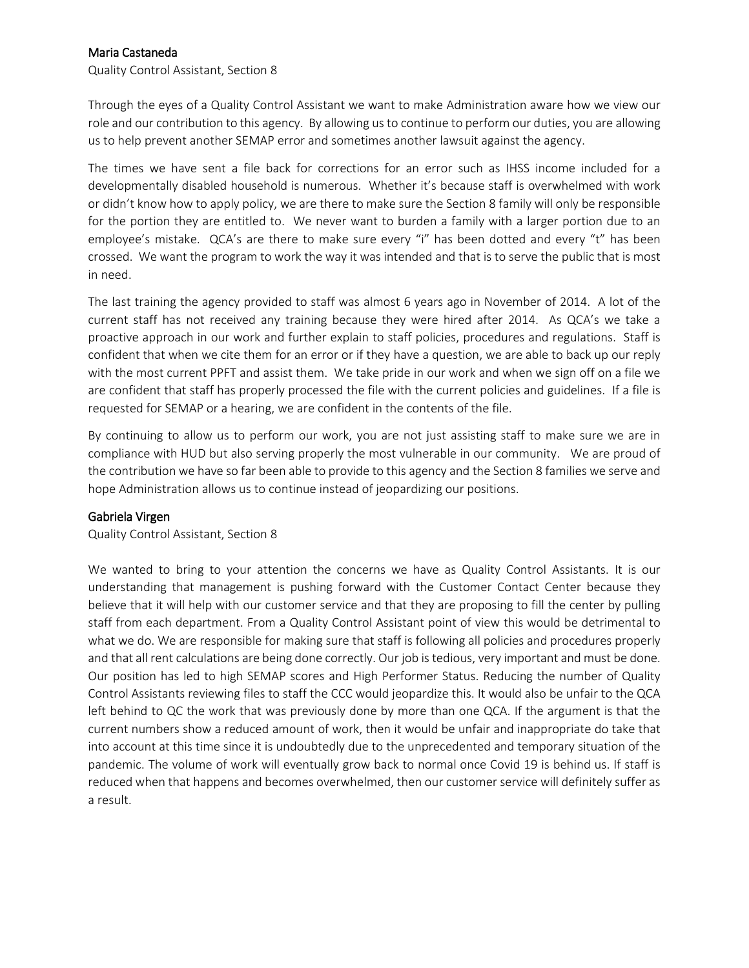# Maria Castaneda

Quality Control Assistant, Section 8

Through the eyes of a Quality Control Assistant we want to make Administration aware how we view our role and our contribution to this agency. By allowing us to continue to perform our duties, you are allowing us to help prevent another SEMAP error and sometimes another lawsuit against the agency.

The times we have sent a file back for corrections for an error such as IHSS income included for a developmentally disabled household is numerous. Whether it's because staff is overwhelmed with work or didn't know how to apply policy, we are there to make sure the Section 8 family will only be responsible for the portion they are entitled to. We never want to burden a family with a larger portion due to an employee's mistake. QCA's are there to make sure every "i" has been dotted and every "t" has been crossed. We want the program to work the way it was intended and that is to serve the public that is most in need.

The last training the agency provided to staff was almost 6 years ago in November of 2014. A lot of the current staff has not received any training because they were hired after 2014. As QCA's we take a proactive approach in our work and further explain to staff policies, procedures and regulations. Staff is confident that when we cite them for an error or if they have a question, we are able to back up our reply with the most current PPFT and assist them. We take pride in our work and when we sign off on a file we are confident that staff has properly processed the file with the current policies and guidelines. If a file is requested for SEMAP or a hearing, we are confident in the contents of the file.

By continuing to allow us to perform our work, you are not just assisting staff to make sure we are in compliance with HUD but also serving properly the most vulnerable in our community. We are proud of the contribution we have so far been able to provide to this agency and the Section 8 families we serve and hope Administration allows us to continue instead of jeopardizing our positions.

## Gabriela Virgen

Quality Control Assistant, Section 8

We wanted to bring to your attention the concerns we have as Quality Control Assistants. It is our understanding that management is pushing forward with the Customer Contact Center because they believe that it will help with our customer service and that they are proposing to fill the center by pulling staff from each department. From a Quality Control Assistant point of view this would be detrimental to what we do. We are responsible for making sure that staff is following all policies and procedures properly and that all rent calculations are being done correctly. Our job is tedious, very important and must be done. Our position has led to high SEMAP scores and High Performer Status. Reducing the number of Quality Control Assistants reviewing files to staff the CCC would jeopardize this. It would also be unfair to the QCA left behind to QC the work that was previously done by more than one QCA. If the argument is that the current numbers show a reduced amount of work, then it would be unfair and inappropriate do take that into account at this time since it is undoubtedly due to the unprecedented and temporary situation of the pandemic. The volume of work will eventually grow back to normal once Covid 19 is behind us. If staff is reduced when that happens and becomes overwhelmed, then our customer service will definitely suffer as a result.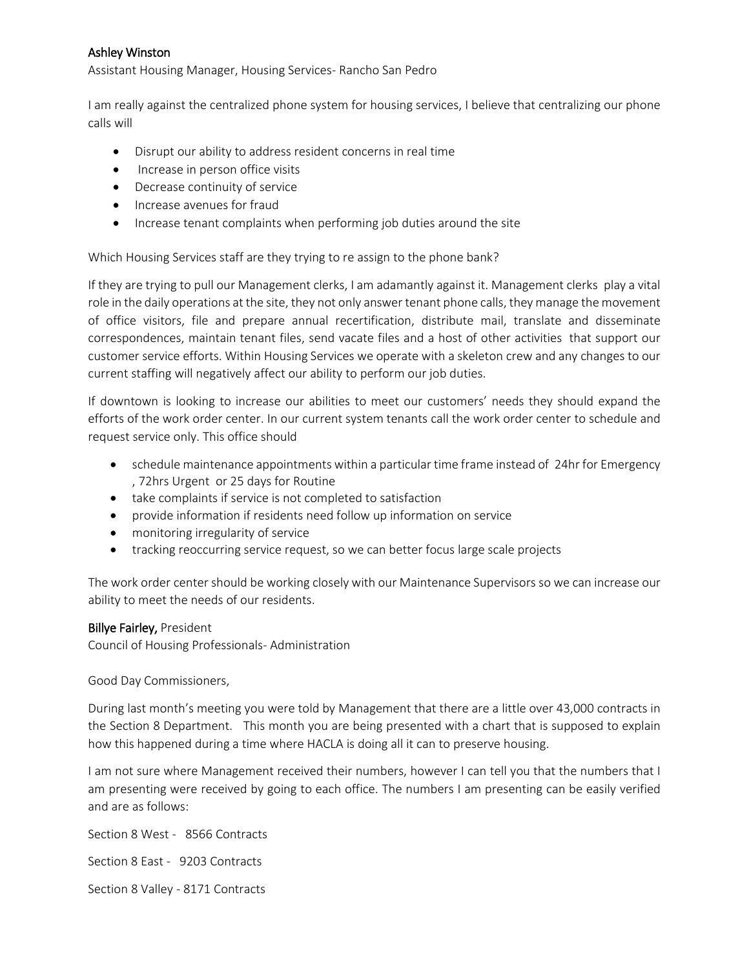# Ashley Winston

Assistant Housing Manager, Housing Services- Rancho San Pedro

I am really against the centralized phone system for housing services, I believe that centralizing our phone calls will

- Disrupt our ability to address resident concerns in real time
- Increase in person office visits
- Decrease continuity of service
- Increase avenues for fraud
- Increase tenant complaints when performing job duties around the site

Which Housing Services staff are they trying to re assign to the phone bank?

If they are trying to pull our Management clerks, I am adamantly against it. Management clerks play a vital role in the daily operations at the site, they not only answer tenant phone calls, they manage the movement of office visitors, file and prepare annual recertification, distribute mail, translate and disseminate correspondences, maintain tenant files, send vacate files and a host of other activities that support our customer service efforts. Within Housing Services we operate with a skeleton crew and any changes to our current staffing will negatively affect our ability to perform our job duties.

If downtown is looking to increase our abilities to meet our customers' needs they should expand the efforts of the work order center. In our current system tenants call the work order center to schedule and request service only. This office should

- schedule maintenance appointments within a particular time frame instead of 24hr for Emergency , 72hrs Urgent or 25 days for Routine
- take complaints if service is not completed to satisfaction
- provide information if residents need follow up information on service
- monitoring irregularity of service
- tracking reoccurring service request, so we can better focus large scale projects

The work order center should be working closely with our Maintenance Supervisors so we can increase our ability to meet the needs of our residents.

#### Billye Fairley, President

Council of Housing Professionals- Administration

Good Day Commissioners,

During last month's meeting you were told by Management that there are a little over 43,000 contracts in the Section 8 Department. This month you are being presented with a chart that is supposed to explain how this happened during a time where HACLA is doing all it can to preserve housing.

I am not sure where Management received their numbers, however I can tell you that the numbers that I am presenting were received by going to each office. The numbers I am presenting can be easily verified and are as follows:

Section 8 West - 8566 Contracts Section 8 East - 9203 Contracts Section 8 Valley - 8171 Contracts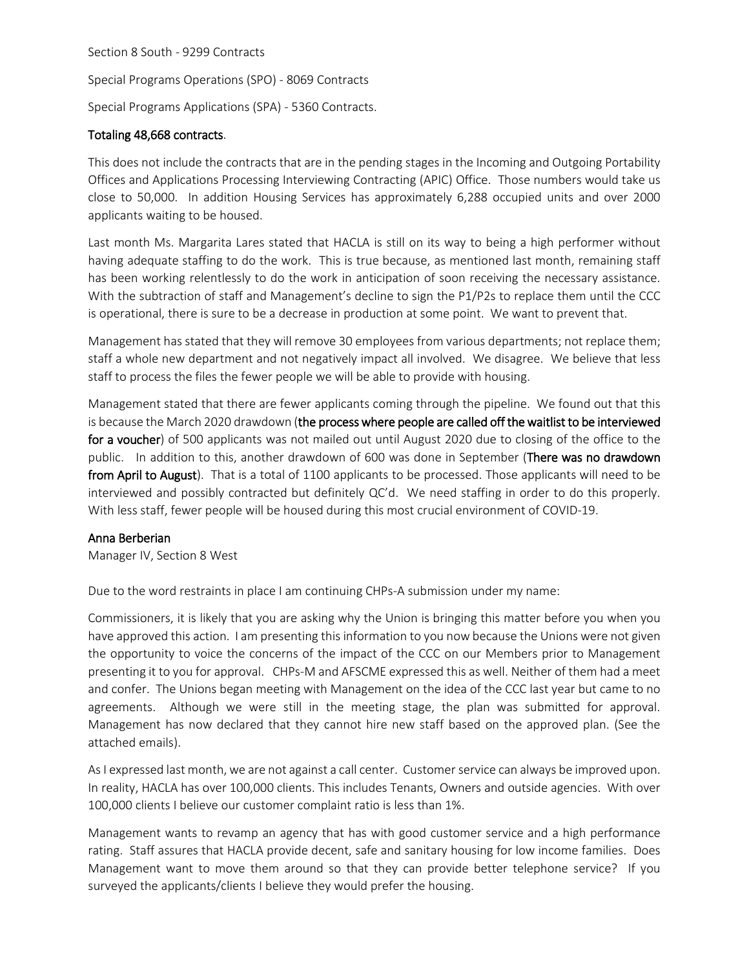Section 8 South - 9299 Contracts

Special Programs Operations (SPO) - 8069 Contracts

Special Programs Applications (SPA) - 5360 Contracts.

# Totaling 48,668 contracts.

This does not include the contracts that are in the pending stages in the Incoming and Outgoing Portability Offices and Applications Processing Interviewing Contracting (APIC) Office. Those numbers would take us close to 50,000. In addition Housing Services has approximately 6,288 occupied units and over 2000 applicants waiting to be housed.

Last month Ms. Margarita Lares stated that HACLA is still on its way to being a high performer without having adequate staffing to do the work. This is true because, as mentioned last month, remaining staff has been working relentlessly to do the work in anticipation of soon receiving the necessary assistance. With the subtraction of staff and Management's decline to sign the P1/P2s to replace them until the CCC is operational, there is sure to be a decrease in production at some point. We want to prevent that.

Management has stated that they will remove 30 employees from various departments; not replace them; staff a whole new department and not negatively impact all involved. We disagree. We believe that less staff to process the files the fewer people we will be able to provide with housing.

Management stated that there are fewer applicants coming through the pipeline. We found out that this is because the March 2020 drawdown (the process where people are called off the waitlist to be interviewed for a voucher) of 500 applicants was not mailed out until August 2020 due to closing of the office to the public. In addition to this, another drawdown of 600 was done in September (There was no drawdown from April to August). That is a total of 1100 applicants to be processed. Those applicants will need to be interviewed and possibly contracted but definitely QC'd. We need staffing in order to do this properly. With less staff, fewer people will be housed during this most crucial environment of COVID-19.

## Anna Berberian

Manager IV, Section 8 West

Due to the word restraints in place I am continuing CHPs-A submission under my name:

Commissioners, it is likely that you are asking why the Union is bringing this matter before you when you have approved this action. I am presenting this information to you now because the Unions were not given the opportunity to voice the concerns of the impact of the CCC on our Members prior to Management presenting it to you for approval. CHPs-M and AFSCME expressed this as well. Neither of them had a meet and confer. The Unions began meeting with Management on the idea of the CCC last year but came to no agreements. Although we were still in the meeting stage, the plan was submitted for approval. Management has now declared that they cannot hire new staff based on the approved plan. (See the attached emails).

As I expressed last month, we are not against a call center. Customer service can always be improved upon. In reality, HACLA has over 100,000 clients. This includes Tenants, Owners and outside agencies. With over 100,000 clients I believe our customer complaint ratio is less than 1%.

Management wants to revamp an agency that has with good customer service and a high performance rating. Staff assures that HACLA provide decent, safe and sanitary housing for low income families. Does Management want to move them around so that they can provide better telephone service? If you surveyed the applicants/clients I believe they would prefer the housing.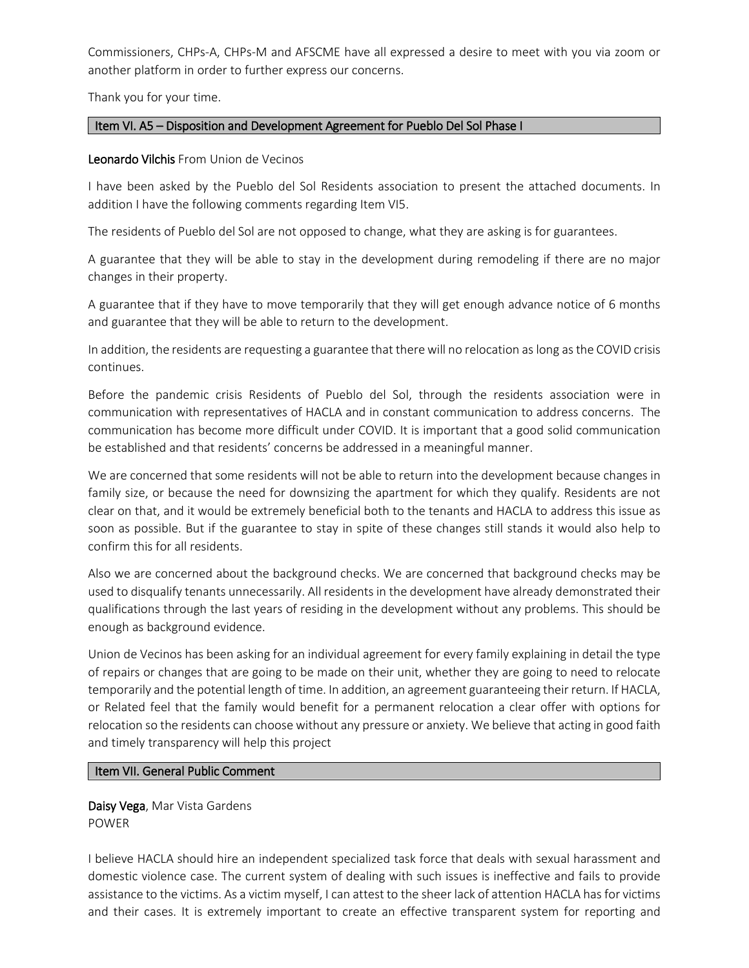Commissioners, CHPs-A, CHPs-M and AFSCME have all expressed a desire to meet with you via zoom or another platform in order to further express our concerns.

Thank you for your time.

# Item VI. A5 – Disposition and Development Agreement for Pueblo Del Sol Phase I

# Leonardo Vilchis From Union de Vecinos

I have been asked by the Pueblo del Sol Residents association to present the attached documents. In addition I have the following comments regarding Item VI5.

The residents of Pueblo del Sol are not opposed to change, what they are asking is for guarantees.

A guarantee that they will be able to stay in the development during remodeling if there are no major changes in their property.

A guarantee that if they have to move temporarily that they will get enough advance notice of 6 months and guarantee that they will be able to return to the development.

In addition, the residents are requesting a guarantee that there will no relocation as long as the COVID crisis continues.

Before the pandemic crisis Residents of Pueblo del Sol, through the residents association were in communication with representatives of HACLA and in constant communication to address concerns. The communication has become more difficult under COVID. It is important that a good solid communication be established and that residents' concerns be addressed in a meaningful manner.

We are concerned that some residents will not be able to return into the development because changes in family size, or because the need for downsizing the apartment for which they qualify. Residents are not clear on that, and it would be extremely beneficial both to the tenants and HACLA to address this issue as soon as possible. But if the guarantee to stay in spite of these changes still stands it would also help to confirm this for all residents.

Also we are concerned about the background checks. We are concerned that background checks may be used to disqualify tenants unnecessarily. All residents in the development have already demonstrated their qualifications through the last years of residing in the development without any problems. This should be enough as background evidence.

Union de Vecinos has been asking for an individual agreement for every family explaining in detail the type of repairs or changes that are going to be made on their unit, whether they are going to need to relocate temporarily and the potential length of time. In addition, an agreement guaranteeing their return. If HACLA, or Related feel that the family would benefit for a permanent relocation a clear offer with options for relocation so the residents can choose without any pressure or anxiety. We believe that acting in good faith and timely transparency will help this project

## Item VII. General Public Comment

Daisy Vega, Mar Vista Gardens POWER

I believe HACLA should hire an independent specialized task force that deals with sexual harassment and domestic violence case. The current system of dealing with such issues is ineffective and fails to provide assistance to the victims. As a victim myself, I can attest to the sheer lack of attention HACLA has for victims and their cases. It is extremely important to create an effective transparent system for reporting and